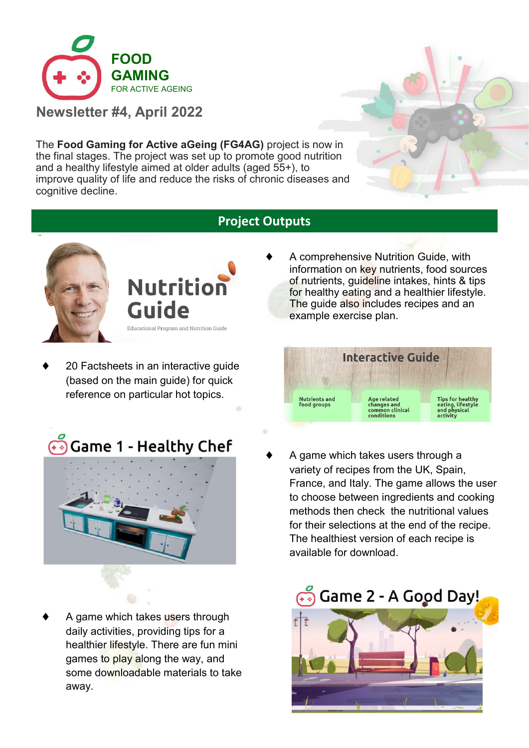

**Newsletter #4, April 2022** 

The **Food Gaming for Active aGeing (FG4AG)** project is now in the final stages. The project was set up to promote good nutrition and a healthy lifestyle aimed at older adults (aged 55+), to improve quality of life and reduce the risks of chronic diseases and cognitive decline.

# **Project Outputs**



**Nutrition Guide** Educational Program and Nutrition Guide

 20 Factsheets in an interactive guide (based on the main guide) for quick reference on particular hot topics.



 A game which takes users through daily activities, providing tips for a healthier lifestyle. There are fun mini games to play along the way, and some downloadable materials to take away.

 A comprehensive Nutrition Guide, with information on key nutrients, food sources of nutrients, guideline intakes, hints & tips for healthy eating and a healthier lifestyle. The guide also includes recipes and an example exercise plan.



 A game which takes users through a variety of recipes from the UK, Spain, France, and Italy. The game allows the user to choose between ingredients and cooking methods then check the nutritional values for their selections at the end of the recipe. The healthiest version of each recipe is available for download.